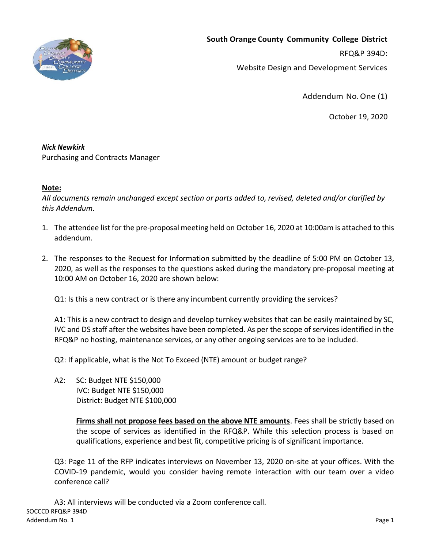

**South Orange County Community College District**

RFQ&P 394D:

Website Design and Development Services

Addendum No.One (1)

October 19, 2020

## *Nick Newkirk*

Purchasing and Contracts Manager

## **Note:**

*All documents remain unchanged except section or parts added to, revised, deleted and/or clarified by this Addendum.*

- 1. The attendee list for the pre-proposal meeting held on October 16, 2020 at 10:00am is attached to this addendum.
- 2. The responses to the Request for Information submitted by the deadline of 5:00 PM on October 13, 2020, as well as the responses to the questions asked during the mandatory pre-proposal meeting at 10:00 AM on October 16, 2020 are shown below:

Q1: Is this a new contract or is there any incumbent currently providing the services?

A1: This is a new contract to design and develop turnkey websites that can be easily maintained by SC, IVC and DS staff after the websites have been completed. As per the scope of services identified in the RFQ&P no hosting, maintenance services, or any other ongoing services are to be included.

Q2: If applicable, what is the Not To Exceed (NTE) amount or budget range?

A2: SC: Budget NTE \$150,000 IVC: Budget NTE \$150,000 District: Budget NTE \$100,000

> **Firms shall not propose fees based on the above NTE amounts**. Fees shall be strictly based on the scope of services as identified in the RFQ&P. While this selection process is based on qualifications, experience and best fit, competitive pricing is of significant importance.

Q3: Page 11 of the RFP indicates interviews on November 13, 2020 on-site at your offices. With the COVID-19 pandemic, would you consider having remote interaction with our team over a video conference call?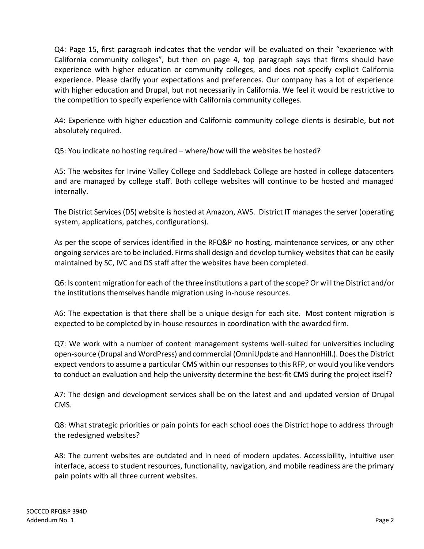Q4: Page 15, first paragraph indicates that the vendor will be evaluated on their "experience with California community colleges", but then on page 4, top paragraph says that firms should have experience with higher education or community colleges, and does not specify explicit California experience. Please clarify your expectations and preferences. Our company has a lot of experience with higher education and Drupal, but not necessarily in California. We feel it would be restrictive to the competition to specify experience with California community colleges.

A4: Experience with higher education and California community college clients is desirable, but not absolutely required.

Q5: You indicate no hosting required – where/how will the websites be hosted?

A5: The websites for Irvine Valley College and Saddleback College are hosted in college datacenters and are managed by college staff. Both college websites will continue to be hosted and managed internally.

The District Services (DS) website is hosted at Amazon, AWS. District IT manages the server (operating system, applications, patches, configurations).

As per the scope of services identified in the RFQ&P no hosting, maintenance services, or any other ongoing services are to be included. Firms shall design and develop turnkey websites that can be easily maintained by SC, IVC and DS staff after the websites have been completed.

Q6: Is content migration for each of the three institutions a part of the scope? Or will the District and/or the institutions themselves handle migration using in-house resources.

A6: The expectation is that there shall be a unique design for each site. Most content migration is expected to be completed by in-house resources in coordination with the awarded firm.

Q7: We work with a number of content management systems well-suited for universities including open-source (Drupal and WordPress) and commercial (OmniUpdate and HannonHill.). Does the District expect vendors to assume a particular CMS within our responses to this RFP, or would you like vendors to conduct an evaluation and help the university determine the best-fit CMS during the project itself?

A7: The design and development services shall be on the latest and and updated version of Drupal CMS.

Q8: What strategic priorities or pain points for each school does the District hope to address through the redesigned websites?

A8: The current websites are outdated and in need of modern updates. Accessibility, intuitive user interface, access to student resources, functionality, navigation, and mobile readiness are the primary pain points with all three current websites.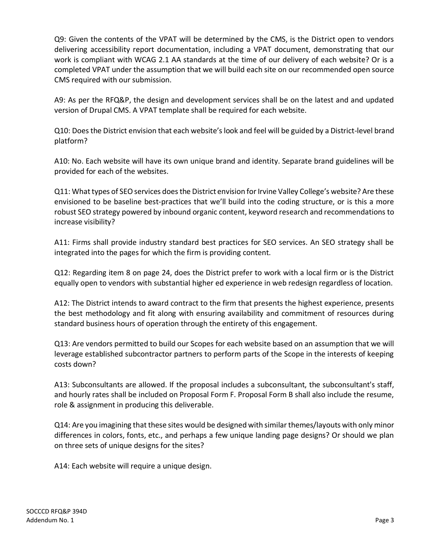Q9: Given the contents of the VPAT will be determined by the CMS, is the District open to vendors delivering accessibility report documentation, including a VPAT document, demonstrating that our work is compliant with WCAG 2.1 AA standards at the time of our delivery of each website? Or is a completed VPAT under the assumption that we will build each site on our recommended open source CMS required with our submission.

A9: As per the RFQ&P, the design and development services shall be on the latest and and updated version of Drupal CMS. A VPAT template shall be required for each website.

Q10: Does the District envision that each website's look and feel will be guided by a District-level brand platform?

A10: No. Each website will have its own unique brand and identity. Separate brand guidelines will be provided for each of the websites.

Q11: What types of SEO services does the District envision for Irvine Valley College's website? Are these envisioned to be baseline best-practices that we'll build into the coding structure, or is this a more robust SEO strategy powered by inbound organic content, keyword research and recommendations to increase visibility?

A11: Firms shall provide industry standard best practices for SEO services. An SEO strategy shall be integrated into the pages for which the firm is providing content.

Q12: Regarding item 8 on page 24, does the District prefer to work with a local firm or is the District equally open to vendors with substantial higher ed experience in web redesign regardless of location.

A12: The District intends to award contract to the firm that presents the highest experience, presents the best methodology and fit along with ensuring availability and commitment of resources during standard business hours of operation through the entirety of this engagement.

Q13: Are vendors permitted to build our Scopes for each website based on an assumption that we will leverage established subcontractor partners to perform parts of the Scope in the interests of keeping costs down?

A13: Subconsultants are allowed. If the proposal includes a subconsultant, the subconsultant's staff, and hourly rates shall be included on Proposal Form F. Proposal Form B shall also include the resume, role & assignment in producing this deliverable.

Q14: Are you imagining that these sites would be designed with similar themes/layouts with only minor differences in colors, fonts, etc., and perhaps a few unique landing page designs? Or should we plan on three sets of unique designs for the sites?

A14: Each website will require a unique design.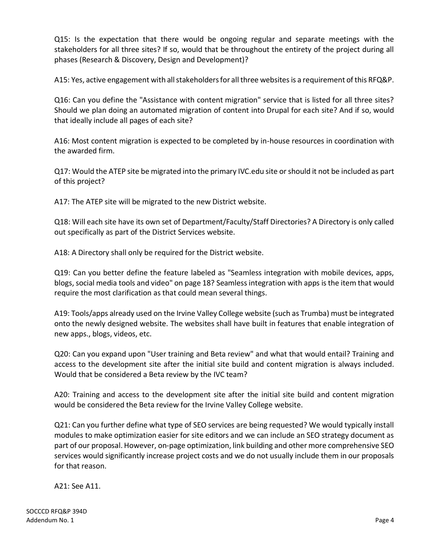Q15: Is the expectation that there would be ongoing regular and separate meetings with the stakeholders for all three sites? If so, would that be throughout the entirety of the project during all phases (Research & Discovery, Design and Development)?

A15: Yes, active engagement with all stakeholders for all three websites is a requirement of this RFQ&P.

Q16: Can you define the "Assistance with content migration" service that is listed for all three sites? Should we plan doing an automated migration of content into Drupal for each site? And if so, would that ideally include all pages of each site?

A16: Most content migration is expected to be completed by in-house resources in coordination with the awarded firm.

Q17: Would the ATEP site be migrated into the primary IVC.edu site or should it not be included as part of this project?

A17: The ATEP site will be migrated to the new District website.

Q18: Will each site have its own set of Department/Faculty/Staff Directories? A Directory is only called out specifically as part of the District Services website.

A18: A Directory shall only be required for the District website.

Q19: Can you better define the feature labeled as "Seamless integration with mobile devices, apps, blogs, social media tools and video" on page 18? Seamless integration with apps is the item that would require the most clarification as that could mean several things.

A19: Tools/apps already used on the Irvine Valley College website (such as Trumba) must be integrated onto the newly designed website. The websites shall have built in features that enable integration of new apps., blogs, videos, etc.

Q20: Can you expand upon "User training and Beta review" and what that would entail? Training and access to the development site after the initial site build and content migration is always included. Would that be considered a Beta review by the IVC team?

A20: Training and access to the development site after the initial site build and content migration would be considered the Beta review for the Irvine Valley College website.

Q21: Can you further define what type of SEO services are being requested? We would typically install modules to make optimization easier for site editors and we can include an SEO strategy document as part of our proposal. However, on-page optimization, link building and other more comprehensive SEO services would significantly increase project costs and we do not usually include them in our proposals for that reason.

A21: See A11.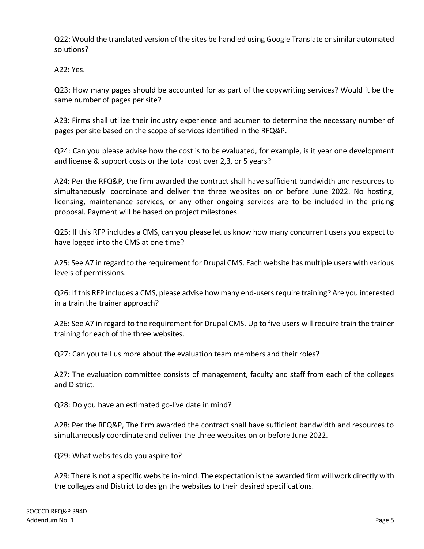Q22: Would the translated version of the sites be handled using Google Translate or similar automated solutions?

A22: Yes.

Q23: How many pages should be accounted for as part of the copywriting services? Would it be the same number of pages per site?

A23: Firms shall utilize their industry experience and acumen to determine the necessary number of pages per site based on the scope of services identified in the RFQ&P.

Q24: Can you please advise how the cost is to be evaluated, for example, is it year one development and license & support costs or the total cost over 2,3, or 5 years?

A24: Per the RFQ&P, the firm awarded the contract shall have sufficient bandwidth and resources to simultaneously coordinate and deliver the three websites on or before June 2022. No hosting, licensing, maintenance services, or any other ongoing services are to be included in the pricing proposal. Payment will be based on project milestones.

Q25: If this RFP includes a CMS, can you please let us know how many concurrent users you expect to have logged into the CMS at one time?

A25: See A7 in regard to the requirement for Drupal CMS. Each website has multiple users with various levels of permissions.

Q26: If this RFP includes a CMS, please advise how many end-users require training? Are you interested in a train the trainer approach?

A26: See A7 in regard to the requirement for Drupal CMS. Up to five users will require train the trainer training for each of the three websites.

Q27: Can you tell us more about the evaluation team members and their roles?

A27: The evaluation committee consists of management, faculty and staff from each of the colleges and District.

Q28: Do you have an estimated go-live date in mind?

A28: Per the RFQ&P, The firm awarded the contract shall have sufficient bandwidth and resources to simultaneously coordinate and deliver the three websites on or before June 2022.

Q29: What websites do you aspire to?

A29: There is not a specific website in-mind. The expectation is the awarded firm will work directly with the colleges and District to design the websites to their desired specifications.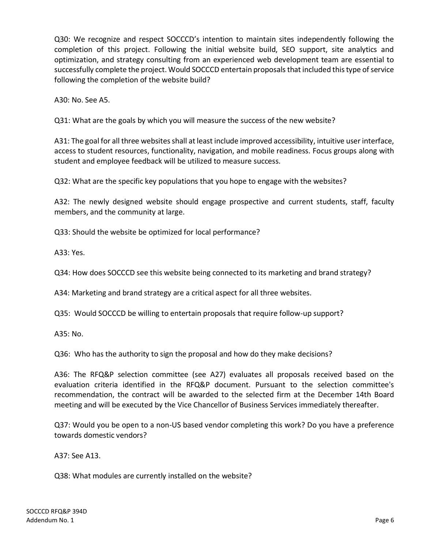Q30: We recognize and respect SOCCCD's intention to maintain sites independently following the completion of this project. Following the initial website build, SEO support, site analytics and optimization, and strategy consulting from an experienced web development team are essential to successfully complete the project. Would SOCCCD entertain proposals that included this type of service following the completion of the website build?

A30: No. See A5.

Q31: What are the goals by which you will measure the success of the new website?

A31: The goal for all three websites shall at least include improved accessibility, intuitive user interface, access to student resources, functionality, navigation, and mobile readiness. Focus groups along with student and employee feedback will be utilized to measure success.

Q32: What are the specific key populations that you hope to engage with the websites?

A32: The newly designed website should engage prospective and current students, staff, faculty members, and the community at large.

Q33: Should the website be optimized for local performance?

A33: Yes.

Q34: How does SOCCCD see this website being connected to its marketing and brand strategy?

A34: Marketing and brand strategy are a critical aspect for all three websites.

Q35: Would SOCCCD be willing to entertain proposals that require follow-up support?

A35: No.

Q36: Who has the authority to sign the proposal and how do they make decisions?

A36: The RFQ&P selection committee (see A27) evaluates all proposals received based on the evaluation criteria identified in the RFQ&P document. Pursuant to the selection committee's recommendation, the contract will be awarded to the selected firm at the December 14th Board meeting and will be executed by the Vice Chancellor of Business Services immediately thereafter.

Q37: Would you be open to a non-US based vendor completing this work? Do you have a preference towards domestic vendors?

A37: See A13.

Q38: What modules are currently installed on the website?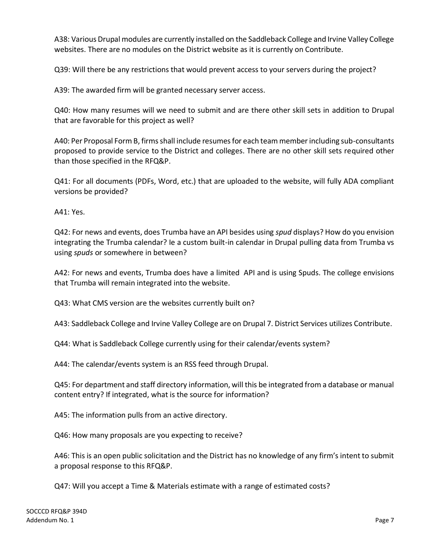A38: Various Drupal modules are currently installed on the Saddleback College and Irvine Valley College websites. There are no modules on the District website as it is currently on Contribute.

Q39: Will there be any restrictions that would prevent access to your servers during the project?

A39: The awarded firm will be granted necessary server access.

Q40: How many resumes will we need to submit and are there other skill sets in addition to Drupal that are favorable for this project as well?

A40: Per Proposal Form B, firms shall include resumes for each team member including sub-consultants proposed to provide service to the District and colleges. There are no other skill sets required other than those specified in the RFQ&P.

Q41: For all documents (PDFs, Word, etc.) that are uploaded to the website, will fully ADA compliant versions be provided?

A41: Yes.

Q42: For news and events, does Trumba have an API besides using *spud* displays? How do you envision integrating the Trumba calendar? Ie a custom built-in calendar in Drupal pulling data from Trumba vs using *spuds* or somewhere in between?

A42: For news and events, Trumba does have a limited API and is using Spuds. The college envisions that Trumba will remain integrated into the website.

Q43: What CMS version are the websites currently built on?

A43: Saddleback College and Irvine Valley College are on Drupal 7. District Services utilizes Contribute.

Q44: What is Saddleback College currently using for their calendar/events system?

A44: The calendar/events system is an RSS feed through Drupal.

Q45: For department and staff directory information, will this be integrated from a database or manual content entry? If integrated, what is the source for information?

A45: The information pulls from an active directory.

Q46: How many proposals are you expecting to receive?

A46: This is an open public solicitation and the District has no knowledge of any firm's intent to submit a proposal response to this RFQ&P.

Q47: Will you accept a Time & Materials estimate with a range of estimated costs?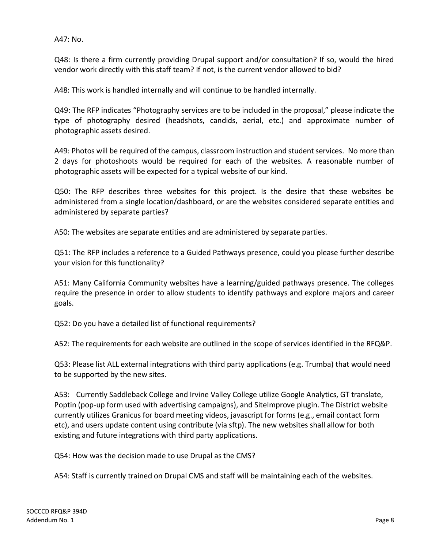A47: No.

Q48: Is there a firm currently providing Drupal support and/or consultation? If so, would the hired vendor work directly with this staff team? If not, is the current vendor allowed to bid?

A48: This work is handled internally and will continue to be handled internally.

Q49: The RFP indicates "Photography services are to be included in the proposal," please indicate the type of photography desired (headshots, candids, aerial, etc.) and approximate number of photographic assets desired.

A49: Photos will be required of the campus, classroom instruction and student services. No more than 2 days for photoshoots would be required for each of the websites. A reasonable number of photographic assets will be expected for a typical website of our kind.

Q50: The RFP describes three websites for this project. Is the desire that these websites be administered from a single location/dashboard, or are the websites considered separate entities and administered by separate parties?

A50: The websites are separate entities and are administered by separate parties.

Q51: The RFP includes a reference to a Guided Pathways presence, could you please further describe your vision for this functionality?

A51: Many California Community websites have a learning/guided pathways presence. The colleges require the presence in order to allow students to identify pathways and explore majors and career goals.

Q52: Do you have a detailed list of functional requirements?

A52: The requirements for each website are outlined in the scope of services identified in the RFQ&P.

Q53: Please list ALL external integrations with third party applications (e.g. Trumba) that would need to be supported by the new sites.

A53: Currently Saddleback College and Irvine Valley College utilize Google Analytics, GT translate, Poptin (pop-up form used with advertising campaigns), and SiteImprove plugin. The District website currently utilizes Granicus for board meeting videos, javascript for forms (e.g., email contact form etc), and users update content using contribute (via sftp). The new websites shall allow for both existing and future integrations with third party applications.

Q54: How was the decision made to use Drupal as the CMS?

A54: Staff is currently trained on Drupal CMS and staff will be maintaining each of the websites.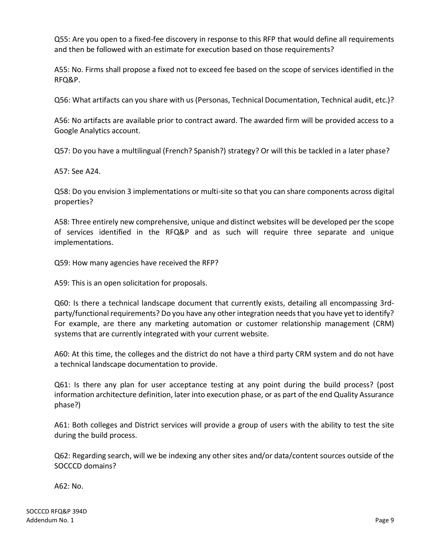Q55: Are you open to a fixed-fee discovery in response to this RFP that would define all requirements and then be followed with an estimate for execution based on those requirements?

A55: No. Firms shall propose a fixed not to exceed fee based on the scope of services identified in the RFQ&P.

Q56: What artifacts can you share with us (Personas, Technical Documentation, Technical audit, etc.)?

A56: No artifacts are available prior to contract award. The awarded firm will be provided access to a Google Analytics account.

Q57: Do you have a multilingual (French? Spanish?) strategy? Or will this be tackled in a later phase?

A57: See A24.

Q58: Do you envision 3 implementations or multi-site so that you can share components across digital properties?

A58: Three entirely new comprehensive, unique and distinct websites will be developed per the scope of services identified in the RFQ&P and as such will require three separate and unique implementations.

Q59: How many agencies have received the RFP?

A59: This is an open solicitation for proposals.

Q60: Is there a technical landscape document that currently exists, detailing all encompassing 3rdparty/functional requirements? Do you have any other integration needs that you have yet to identify? For example, are there any marketing automation or customer relationship management (CRM) systems that are currently integrated with your current website.

A60: At this time, the colleges and the district do not have a third party CRM system and do not have a technical landscape documentation to provide.

Q61: Is there any plan for user acceptance testing at any point during the build process? (post information architecture definition, later into execution phase, or as part of the end Quality Assurance phase?)

A61: Both colleges and District services will provide a group of users with the ability to test the site during the build process.

Q62: Regarding search, will we be indexing any other sites and/or data/content sources outside of the SOCCCD domains?

A62: No.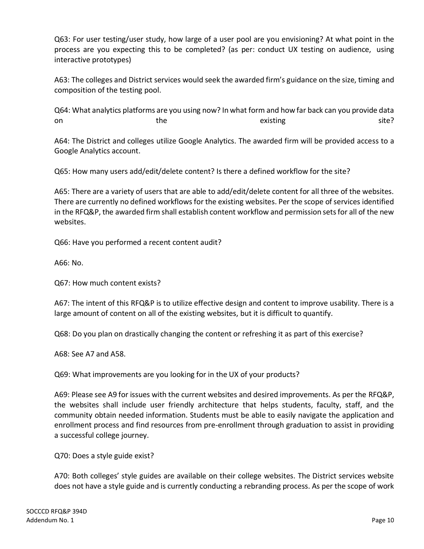Q63: For user testing/user study, how large of a user pool are you envisioning? At what point in the process are you expecting this to be completed? (as per: conduct UX testing on audience, using interactive prototypes)

A63: The colleges and District services would seek the awarded firm's guidance on the size, timing and composition of the testing pool.

Q64: What analytics platforms are you using now? In what form and how far back can you provide data on the the existing existing site?

A64: The District and colleges utilize Google Analytics. The awarded firm will be provided access to a Google Analytics account.

Q65: How many users add/edit/delete content? Is there a defined workflow for the site?

A65: There are a variety of users that are able to add/edit/delete content for all three of the websites. There are currently no defined workflows for the existing websites. Per the scope of services identified in the RFQ&P, the awarded firm shall establish content workflow and permission sets for all of the new websites.

Q66: Have you performed a recent content audit?

A66: No.

Q67: How much content exists?

A67: The intent of this RFQ&P is to utilize effective design and content to improve usability. There is a large amount of content on all of the existing websites, but it is difficult to quantify.

Q68: Do you plan on drastically changing the content or refreshing it as part of this exercise?

A68: See A7 and A58.

Q69: What improvements are you looking for in the UX of your products?

A69: Please see A9 for issues with the current websites and desired improvements. As per the RFQ&P, the websites shall include user friendly architecture that helps students, faculty, staff, and the community obtain needed information. Students must be able to easily navigate the application and enrollment process and find resources from pre-enrollment through graduation to assist in providing a successful college journey.

Q70: Does a style guide exist?

A70: Both colleges' style guides are available on their college websites. The District services website does not have a style guide and is currently conducting a rebranding process. As per the scope of work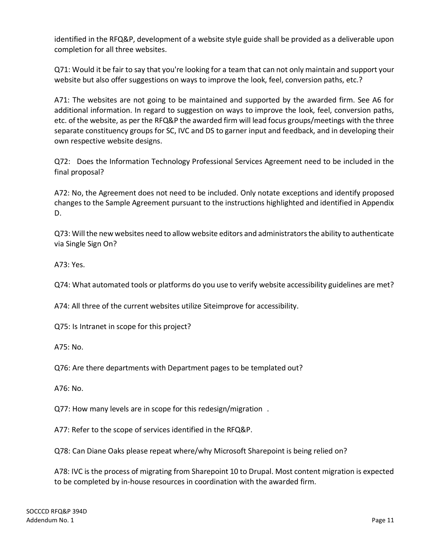identified in the RFQ&P, development of a website style guide shall be provided as a deliverable upon completion for all three websites.

Q71: Would it be fair to say that you're looking for a team that can not only maintain and support your website but also offer suggestions on ways to improve the look, feel, conversion paths, etc.?

A71: The websites are not going to be maintained and supported by the awarded firm. See A6 for additional information. In regard to suggestion on ways to improve the look, feel, conversion paths, etc. of the website, as per the RFQ&P the awarded firm will lead focus groups/meetings with the three separate constituency groups for SC, IVC and DS to garner input and feedback, and in developing their own respective website designs.

Q72: Does the Information Technology Professional Services Agreement need to be included in the final proposal?

A72: No, the Agreement does not need to be included. Only notate exceptions and identify proposed changes to the Sample Agreement pursuant to the instructions highlighted and identified in Appendix D.

Q73: Will the new websites need to allow website editors and administrators the ability to authenticate via Single Sign On?

A73: Yes.

Q74: What automated tools or platforms do you use to verify website accessibility guidelines are met?

A74: All three of the current websites utilize Siteimprove for accessibility.

Q75: Is Intranet in scope for this project?

A75: No.

Q76: Are there departments with Department pages to be templated out?

A76: No.

Q77: How many levels are in scope for this redesign/migration .

A77: Refer to the scope of services identified in the RFQ&P.

Q78: Can Diane Oaks please repeat where/why Microsoft Sharepoint is being relied on?

A78: IVC is the process of migrating from Sharepoint 10 to Drupal. Most content migration is expected to be completed by in-house resources in coordination with the awarded firm.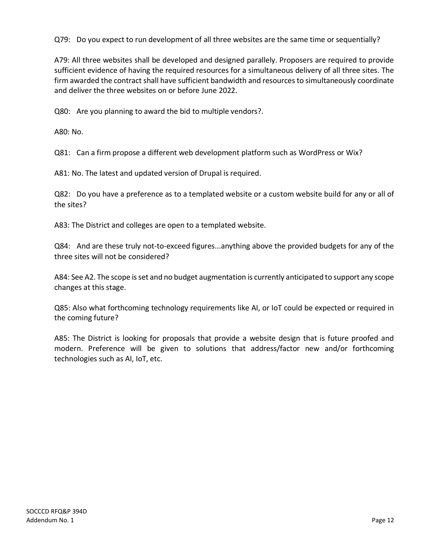Q79: Do you expect to run development of all three websites are the same time or sequentially?

A79: All three websites shall be developed and designed parallely. Proposers are required to provide sufficient evidence of having the required resources for a simultaneous delivery of all three sites. The firm awarded the contract shall have sufficient bandwidth and resources to simultaneously coordinate and deliver the three websites on or before June 2022.

Q80: Are you planning to award the bid to multiple vendors?.

A80: No.

Q81: Can a firm propose a different web development platform such as WordPress or Wix?

A81: No. The latest and updated version of Drupal is required.

Q82: Do you have a preference as to a templated website or a custom website build for any or all of the sites?

A83: The District and colleges are open to a templated website.

Q84: And are these truly not-to-exceed figures...anything above the provided budgets for any of the three sites will not be considered?

A84: See A2. The scope is set and no budget augmentation is currently anticipated to support any scope changes at this stage.

Q85: Also what forthcoming technology requirements like AI, or IoT could be expected or required in the coming future?

A85: The District is looking for proposals that provide a website design that is future proofed and modern. Preference will be given to solutions that address/factor new and/or forthcoming technologies such as AI, IoT, etc.